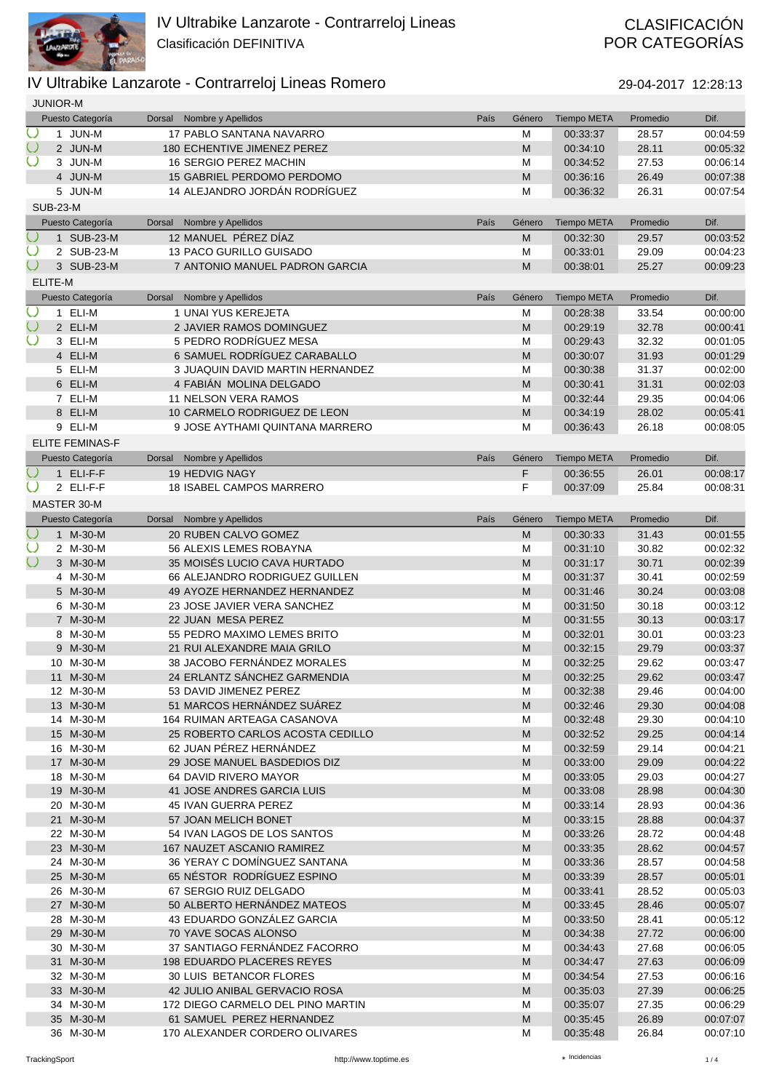

# POR CATEGORÍAS

|                         | <b>JUNIOR-M</b> |                        |               |                                    |      |           |                    |          |          |
|-------------------------|-----------------|------------------------|---------------|------------------------------------|------|-----------|--------------------|----------|----------|
|                         |                 | Puesto Categoría       | Dorsal        | Nombre y Apellidos                 | País | Género    | <b>Tiempo META</b> | Promedio | Dif.     |
| $\cup$                  |                 | 1 JUN-M                |               | 17 PABLO SANTANA NAVARRO           |      | M         | 00:33:37           | 28.57    | 00:04:59 |
| $\cup$                  |                 | 2 JUN-M                |               | 180 ECHENTIVE JIMENEZ PEREZ        |      | M         | 00:34:10           | 28.11    | 00:05:32 |
|                         |                 | 3 JUN-M                |               | 16 SERGIO PEREZ MACHIN             |      | M         | 00:34:52           | 27.53    | 00:06:14 |
|                         |                 | 4 JUN-M                |               | 15 GABRIEL PERDOMO PERDOMO         |      | M         | 00:36:16           | 26.49    | 00:07:38 |
|                         |                 | 5 JUN-M                |               | 14 ALEJANDRO JORDÁN RODRÍGUEZ      |      | M         | 00:36:32           | 26.31    | 00:07:54 |
|                         | <b>SUB-23-M</b> |                        |               |                                    |      |           |                    |          |          |
|                         |                 | Puesto Categoría       | <b>Dorsal</b> | Nombre y Apellidos                 | País | Género    | <b>Tiempo META</b> | Promedio | Dif.     |
| $\cup$                  |                 | 1 SUB-23-M             |               | 12 MANUEL PÉREZ DÍAZ               |      | M         | 00:32:30           | 29.57    | 00:03:52 |
| $\cup$                  |                 | 2 SUB-23-M             |               | 13 PACO GURILLO GUISADO            |      | M         | 00:33:01           | 29.09    | 00:04:23 |
| $\cup$                  |                 | 3 SUB-23-M             |               | 7 ANTONIO MANUEL PADRON GARCIA     |      | M         | 00:38:01           | 25.27    | 00:09:23 |
|                         | ELITE-M         |                        |               |                                    |      |           |                    |          |          |
|                         |                 | Puesto Categoría       | <b>Dorsal</b> | Nombre y Apellidos                 | País | Género    | <b>Tiempo META</b> | Promedio | Dif.     |
| $\cup$                  |                 | 1 ELI-M                |               | 1 UNAI YUS KEREJETA                |      | M         | 00:28:38           | 33.54    | 00:00:00 |
| $\cup$                  |                 | 2 ELI-M                |               | 2 JAVIER RAMOS DOMINGUEZ           |      | M         | 00:29:19           | 32.78    | 00:00:41 |
|                         |                 | 3 ELI-M                |               | 5 PEDRO RODRÍGUEZ MESA             |      | M         | 00:29:43           | 32.32    | 00:01:05 |
|                         |                 | 4 ELI-M                |               | 6 SAMUEL RODRÍGUEZ CARABALLO       |      | M         | 00:30:07           | 31.93    | 00:01:29 |
|                         |                 | 5 ELI-M                |               | 3 JUAQUIN DAVID MARTIN HERNANDEZ   |      | M         | 00:30:38           | 31.37    | 00:02:00 |
|                         |                 | 6 ELI-M                |               | 4 FABIÁN MOLINA DELGADO            |      | M         | 00:30:41           | 31.31    | 00:02:03 |
|                         |                 | 7 ELI-M                |               | <b>11 NELSON VERA RAMOS</b>        |      | M         | 00:32:44           | 29.35    | 00:04:06 |
|                         |                 | 8 ELI-M                |               | 10 CARMELO RODRIGUEZ DE LEON       |      | M         | 00:34:19           | 28.02    | 00:05:41 |
|                         |                 | 9 ELI-M                |               | 9 JOSE AYTHAMI QUINTANA MARRERO    |      | M         | 00:36:43           | 26.18    | 00:08:05 |
|                         |                 | <b>ELITE FEMINAS-F</b> |               |                                    |      |           |                    |          |          |
|                         |                 | Puesto Categoría       | Dorsal        | Nombre y Apellidos                 | País | Género    | <b>Tiempo META</b> | Promedio | Dif.     |
|                         |                 | 1 ELI-F-F              |               | 19 HEDVIG NAGY                     |      | F         | 00:36:55           | 26.01    | 00:08:17 |
|                         |                 | 2 ELI-F-F              |               | <b>18 ISABEL CAMPOS MARRERO</b>    |      | F         | 00:37:09           | 25.84    | 00:08:31 |
|                         |                 | MASTER 30-M            |               |                                    |      |           |                    |          |          |
|                         |                 | Puesto Categoría       | Dorsal        | Nombre y Apellidos                 | País | Género    | <b>Tiempo META</b> | Promedio | Dif.     |
| $\overline{\mathbb{O}}$ |                 | 1 M-30-M               |               | 20 RUBEN CALVO GOMEZ               |      | M         | 00:30:33           | 31.43    | 00:01:55 |
| $\bigcirc$              |                 | 2 M-30-M               |               | 56 ALEXIS LEMES ROBAYNA            |      | M         | 00:31:10           | 30.82    | 00:02:32 |
| $\bigcirc$              |                 | 3 M-30-M               |               | 35 MOISÉS LUCIO CAVA HURTADO       |      | M         | 00:31:17           | 30.71    | 00:02:39 |
|                         |                 | 4 M-30-M               |               | 66 ALEJANDRO RODRIGUEZ GUILLEN     |      | M         | 00:31:37           | 30.41    | 00:02:59 |
|                         |                 | 5 M-30-M               |               | 49 AYOZE HERNANDEZ HERNANDEZ       |      | M         | 00:31:46           | 30.24    | 00:03:08 |
|                         |                 | 6 M-30-M               |               | 23 JOSE JAVIER VERA SANCHEZ        |      | M         | 00:31:50           | 30.18    | 00:03:12 |
|                         |                 | 7 M-30-M               |               | 22 JUAN MESA PEREZ                 |      | M         | 00:31:55           | 30.13    | 00:03:17 |
|                         |                 | 8 M-30-M               |               | 55 PEDRO MAXIMO LEMES BRITO        |      | M         | 00:32:01           | 30.01    | 00:03:23 |
|                         |                 | 9 M-30-M               |               | 21 RUI ALEXANDRE MAIA GRILO        |      | M         | 00:32:15           | 29.79    | 00:03:37 |
|                         |                 | 10 M-30-M              |               | 38 JACOBO FERNÁNDEZ MORALES        |      | M         | 00:32:25           | 29.62    | 00:03:47 |
|                         |                 | 11 M-30-M              |               | 24 ERLANTZ SÁNCHEZ GARMENDIA       |      | M         | 00:32:25           | 29.62    | 00:03:47 |
|                         |                 | 12 M-30-M              |               | 53 DAVID JIMENEZ PEREZ             |      | M         | 00:32:38           | 29.46    | 00:04:00 |
|                         |                 | 13 M-30-M              |               | 51 MARCOS HERNÁNDEZ SUÁREZ         |      | M         | 00:32:46           | 29.30    | 00:04:08 |
|                         |                 | 14 M-30-M              |               | <b>164 RUIMAN ARTEAGA CASANOVA</b> |      | M         | 00:32:48           | 29.30    | 00:04:10 |
|                         |                 | 15 M-30-M              |               | 25 ROBERTO CARLOS ACOSTA CEDILLO   |      | ${\sf M}$ | 00:32:52           | 29.25    | 00:04:14 |
|                         |                 | 16 M-30-M              |               | 62 JUAN PEREZ HERNANDEZ            |      | M         | 00:32:59           | 29.14    | 00:04:21 |
|                         |                 | 17 M-30-M              |               | 29 JOSE MANUEL BASDEDIOS DIZ       |      | M         | 00:33:00           | 29.09    | 00:04:22 |
|                         |                 | 18 M-30-M              |               | 64 DAVID RIVERO MAYOR              |      | M         | 00:33:05           | 29.03    | 00:04:27 |
|                         |                 | 19 M-30-M              |               | 41 JOSE ANDRES GARCIA LUIS         |      | M         | 00:33:08           | 28.98    | 00:04:30 |
|                         |                 | 20 M-30-M              |               | 45 IVAN GUERRA PEREZ               |      | M         | 00:33:14           | 28.93    | 00:04:36 |
|                         |                 | 21 M-30-M              |               | 57 JOAN MELICH BONET               |      | M         | 00:33:15           | 28.88    | 00:04:37 |
|                         |                 | 22 M-30-M              |               | 54 IVAN LAGOS DE LOS SANTOS        |      | M         | 00:33:26           | 28.72    | 00:04:48 |
|                         |                 | 23 M-30-M              |               | 167 NAUZET ASCANIO RAMIREZ         |      | M         | 00:33:35           | 28.62    | 00:04:57 |
|                         |                 | 24 M-30-M              |               | 36 YERAY C DOMÍNGUEZ SANTANA       |      | M         | 00:33:36           | 28.57    | 00:04:58 |
|                         |                 | 25 M-30-M              |               | 65 NÉSTOR RODRÍGUEZ ESPINO         |      | M         | 00:33:39           | 28.57    | 00:05:01 |
|                         |                 | 26 M-30-M              |               | 67 SERGIO RUIZ DELGADO             |      | M         | 00:33:41           | 28.52    | 00:05:03 |
|                         |                 | 27 M-30-M              |               | 50 ALBERTO HERNÁNDEZ MATEOS        |      | M         | 00:33:45           | 28.46    | 00:05:07 |
|                         |                 | 28 M-30-M              |               | 43 EDUARDO GONZALEZ GARCIA         |      | M         | 00:33:50           | 28.41    | 00:05:12 |
|                         |                 | 29 M-30-M              |               | 70 YAVE SOCAS ALONSO               |      | M         | 00:34:38           | 27.72    | 00:06:00 |
|                         |                 | 30 M-30-M              |               | 37 SANTIAGO FERNÁNDEZ FACORRO      |      | M         | 00:34:43           | 27.68    | 00:06:05 |
|                         |                 | 31 M-30-M              |               | <b>198 EDUARDO PLACERES REYES</b>  |      | M         | 00:34:47           | 27.63    | 00:06:09 |
|                         |                 | 32 M-30-M              |               | 30 LUIS BETANCOR FLORES            |      | M         | 00:34:54           | 27.53    | 00:06:16 |
|                         |                 | 33 M-30-M              |               | 42 JULIO ANIBAL GERVACIO ROSA      |      | M         | 00:35:03           | 27.39    | 00:06:25 |
|                         |                 | 34 M-30-M              |               | 172 DIEGO CARMELO DEL PINO MARTIN  |      | M         | 00:35:07           | 27.35    | 00:06:29 |
|                         |                 | 35 M-30-M              |               | 61 SAMUEL PEREZ HERNANDEZ          |      | M         | 00:35:45           | 26.89    | 00:07:07 |
|                         |                 | 36 M-30-M              |               | 170 ALEXANDER CORDERO OLIVARES     |      | M         | 00:35:48           | 26.84    | 00:07:10 |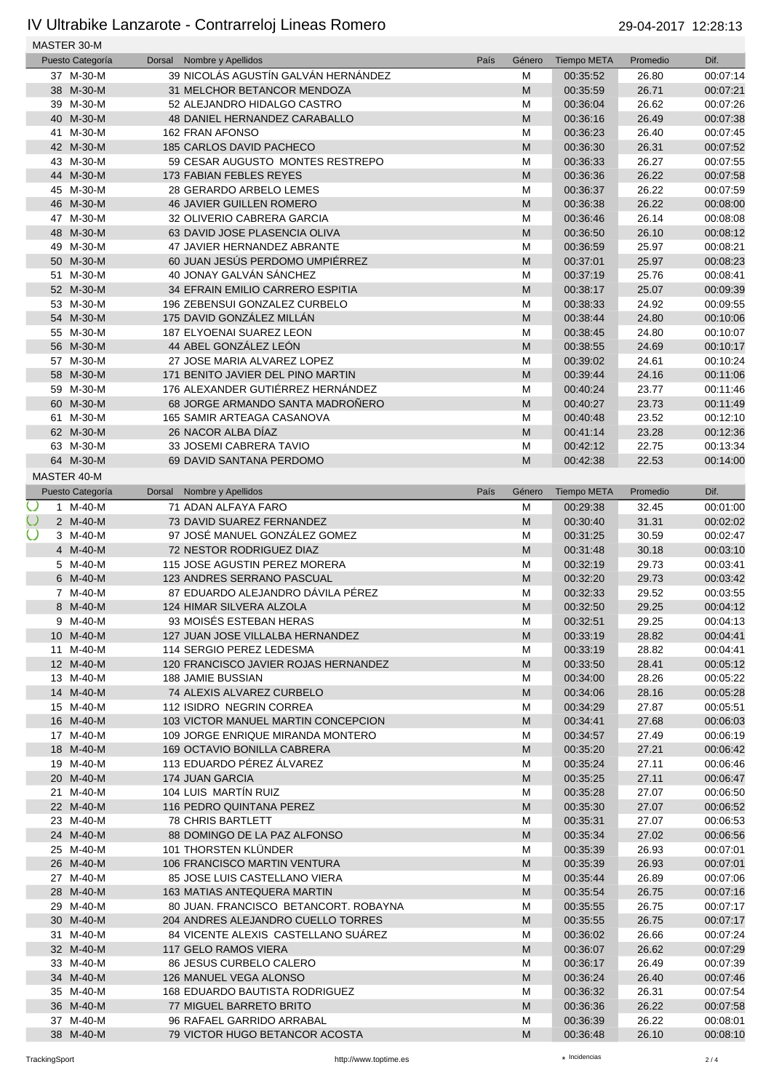|        | MASTER 30-M      |        |                                       |      |           |                    |          |          |
|--------|------------------|--------|---------------------------------------|------|-----------|--------------------|----------|----------|
|        | Puesto Categoría | Dorsal | Nombre y Apellidos                    | País | Género    | <b>Tiempo META</b> | Promedio | Dif.     |
|        | 37 M-30-M        |        | 39 NICOLÁS AGUSTÍN GALVÁN HERNÁNDEZ   |      | M         | 00:35:52           | 26.80    | 00:07:14 |
|        | 38 M-30-M        |        | 31 MELCHOR BETANCOR MENDOZA           |      | M         | 00:35:59           | 26.71    | 00:07:21 |
|        | 39 M-30-M        |        | 52 ALEJANDRO HIDALGO CASTRO           |      | M         | 00:36:04           | 26.62    | 00:07:26 |
|        | 40 M-30-M        |        | <b>48 DANIEL HERNANDEZ CARABALLO</b>  |      | M         | 00:36:16           | 26.49    | 00:07:38 |
|        | 41 M-30-M        |        | 162 FRAN AFONSO                       |      | M         | 00:36:23           | 26.40    | 00:07:45 |
|        | 42 M-30-M        |        | 185 CARLOS DAVID PACHECO              |      | ${\sf M}$ | 00:36:30           | 26.31    | 00:07:52 |
|        | 43 M-30-M        |        | 59 CESAR AUGUSTO MONTES RESTREPO      |      | M         | 00:36:33           | 26.27    | 00:07:55 |
|        | 44 M-30-M        |        | <b>173 FABIAN FEBLES REYES</b>        |      | M         | 00:36:36           | 26.22    | 00:07:58 |
|        | 45 M-30-M        |        | 28 GERARDO ARBELO LEMES               |      | M         | 00:36:37           | 26.22    | 00:07:59 |
|        | 46 M-30-M        |        | <b>46 JAVIER GUILLEN ROMERO</b>       |      | M         | 00:36:38           | 26.22    | 00:08:00 |
|        | 47 M-30-M        |        | 32 OLIVERIO CABRERA GARCIA            |      | M         | 00:36:46           | 26.14    | 00:08:08 |
|        | 48 M-30-M        |        | 63 DAVID JOSE PLASENCIA OLIVA         |      | ${\sf M}$ | 00:36:50           | 26.10    | 00:08:12 |
|        | 49 M-30-M        |        | 47 JAVIER HERNANDEZ ABRANTE           |      | M         | 00:36:59           | 25.97    | 00:08:21 |
|        | 50 M-30-M        |        | 60 JUAN JESÚS PERDOMO UMPIÉRREZ       |      | ${\sf M}$ | 00:37:01           | 25.97    | 00:08:23 |
|        | 51 M-30-M        |        | 40 JONAY GALVÁN SÁNCHEZ               |      | M         | 00:37:19           | 25.76    | 00:08:41 |
|        | 52 M-30-M        |        | 34 EFRAIN EMILIO CARRERO ESPITIA      |      | ${\sf M}$ | 00:38:17           | 25.07    | 00:09:39 |
|        | 53 M-30-M        |        | 196 ZEBENSUI GONZALEZ CURBELO         |      | M         | 00:38:33           | 24.92    | 00:09:55 |
|        | 54 M-30-M        |        | 175 DAVID GONZÁLEZ MILLÁN             |      | ${\sf M}$ | 00:38:44           | 24.80    | 00:10:06 |
|        | 55 M-30-M        |        | 187 ELYOENAI SUAREZ LEON              |      | M         | 00:38:45           | 24.80    | 00:10:07 |
|        | 56 M-30-M        |        | 44 ABEL GONZÁLEZ LEÓN                 |      | M         | 00:38:55           | 24.69    | 00:10:17 |
|        | 57 M-30-M        |        | 27 JOSE MARIA ALVAREZ LOPEZ           |      |           |                    |          |          |
|        |                  |        | 171 BENITO JAVIER DEL PINO MARTIN     |      | M         | 00:39:02           | 24.61    | 00:10:24 |
|        | 58 M-30-M        |        |                                       |      | M         | 00:39:44           | 24.16    | 00:11:06 |
|        | 59 M-30-M        |        | 176 ALEXANDER GUTIÉRREZ HERNÁNDEZ     |      | M         | 00:40:24           | 23.77    | 00:11:46 |
|        | 60 M-30-M        |        | 68 JORGE ARMANDO SANTA MADROÑERO      |      | M         | 00:40:27           | 23.73    | 00:11:49 |
|        | 61 M-30-M        |        | 165 SAMIR ARTEAGA CASANOVA            |      | M         | 00:40:48           | 23.52    | 00:12:10 |
|        | 62 M-30-M        |        | 26 NACOR ALBA DÍAZ                    |      | ${\sf M}$ | 00:41:14           | 23.28    | 00:12:36 |
|        | 63 M-30-M        |        | 33 JOSEMI CABRERA TAVIO               |      | M         | 00:42:12           | 22.75    | 00:13:34 |
|        | 64 M-30-M        |        | 69 DAVID SANTANA PERDOMO              |      | M         | 00:42:38           | 22.53    | 00:14:00 |
|        | MASTER 40-M      |        |                                       |      |           |                    |          |          |
|        | Puesto Categoría |        | Dorsal Nombre y Apellidos             | País | Género    | <b>Tiempo META</b> | Promedio | Dif.     |
| Ő      | 1 M-40-M         |        | 71 ADAN ALFAYA FARO                   |      | M         | 00:29:38           | 32.45    | 00:01:00 |
| $\cup$ | 2 M-40-M         |        | 73 DAVID SUAREZ FERNANDEZ             |      | M         | 00:30:40           | 31.31    | 00:02:02 |
| $\cup$ | 3 M-40-M         |        | 97 JOSÉ MANUEL GONZÁLEZ GOMEZ         |      | M         | 00:31:25           | 30.59    | 00:02:47 |
|        | 4 M-40-M         |        | 72 NESTOR RODRIGUEZ DIAZ              |      | M         | 00:31:48           | 30.18    | 00:03:10 |
|        | 5 M-40-M         |        | 115 JOSE AGUSTIN PEREZ MORERA         |      | M         | 00:32:19           | 29.73    | 00:03:41 |
|        | 6 M-40-M         |        | 123 ANDRES SERRANO PASCUAL            |      | ${\sf M}$ | 00:32:20           | 29.73    | 00:03:42 |
|        | 7 M-40-M         |        | 87 EDUARDO ALEJANDRO DÁVILA PÉREZ     |      | M         | 00:32:33           | 29.52    | 00:03:55 |
|        | 8 M-40-M         |        | 124 HIMAR SILVERA ALZOLA              |      | M         | 00:32:50           | 29.25    | 00:04:12 |
|        | 9 M-40-M         |        | 93 MOISÉS ESTEBAN HERAS               |      | М         | 00:32:51           | 29.25    | 00:04:13 |
|        | 10 M-40-M        |        | 127 JUAN JOSE VILLALBA HERNANDEZ      |      | M         | 00:33:19           | 28.82    | 00:04:41 |
|        | 11 M-40-M        |        | 114 SERGIO PEREZ LEDESMA              |      | M         | 00:33:19           | 28.82    | 00:04:41 |
|        | 12 M-40-M        |        | 120 FRANCISCO JAVIER ROJAS HERNANDEZ  |      | ${\sf M}$ | 00:33:50           | 28.41    | 00:05:12 |
|        | 13 M-40-M        |        | 188 JAMIE BUSSIAN                     |      | M         | 00:34:00           | 28.26    | 00:05:22 |
|        | 14 M-40-M        |        | 74 ALEXIS ALVAREZ CURBELO             |      | M         | 00:34:06           | 28.16    | 00:05:28 |
|        | 15 M-40-M        |        | 112 ISIDRO NEGRIN CORREA              |      | M         | 00:34:29           | 27.87    | 00:05:51 |
|        | 16 M-40-M        |        | 103 VICTOR MANUEL MARTIN CONCEPCION   |      | M         | 00:34:41           | 27.68    | 00:06:03 |
|        | 17 M-40-M        |        | 109 JORGE ENRIQUE MIRANDA MONTERO     |      | M         | 00:34:57           | 27.49    | 00:06:19 |
|        | 18 M-40-M        |        | 169 OCTAVIO BONILLA CABRERA           |      | ${\sf M}$ | 00:35:20           | 27.21    | 00:06:42 |
|        | 19 M-40-M        |        | 113 EDUARDO PÉREZ ÁLVAREZ             |      | M         | 00:35:24           | 27.11    | 00:06:46 |
|        | 20 M-40-M        |        | 174 JUAN GARCIA                       |      | M         | 00:35:25           | 27.11    | 00:06:47 |
|        | 21 M-40-M        |        | 104 LUIS MARTÍN RUIZ                  |      | M         | 00:35:28           | 27.07    | 00:06:50 |
|        | 22 M-40-M        |        | 116 PEDRO QUINTANA PEREZ              |      | M         | 00:35:30           | 27.07    | 00:06:52 |
|        | 23 M-40-M        |        | <b>78 CHRIS BARTLETT</b>              |      | M         | 00:35:31           | 27.07    | 00:06:53 |
|        | 24 M-40-M        |        | 88 DOMINGO DE LA PAZ ALFONSO          |      | ${\sf M}$ | 00:35:34           | 27.02    | 00:06:56 |
|        | 25 M-40-M        |        | 101 THORSTEN KLÜNDER                  |      | M         | 00:35:39           | 26.93    | 00:07:01 |
|        | 26 M-40-M        |        | 106 FRANCISCO MARTIN VENTURA          |      | M         | 00:35:39           | 26.93    | 00:07:01 |
|        | 27 M-40-M        |        | 85 JOSE LUIS CASTELLANO VIERA         |      | M         | 00:35:44           | 26.89    | 00:07:06 |
|        | 28 M-40-M        |        | 163 MATIAS ANTEQUERA MARTIN           |      | M         | 00:35:54           | 26.75    | 00:07:16 |
|        | 29 M-40-M        |        | 80 JUAN. FRANCISCO BETANCORT. ROBAYNA |      | M         | 00:35:55           | 26.75    | 00:07:17 |
|        | 30 M-40-M        |        | 204 ANDRES ALEJANDRO CUELLO TORRES    |      | M         |                    | 26.75    | 00:07:17 |
|        |                  |        |                                       |      |           | 00:35:55           |          |          |
|        | 31 M-40-M        |        | 84 VICENTE ALEXIS CASTELLANO SUÁREZ   |      | M         | 00:36:02           | 26.66    | 00:07:24 |
|        | 32 M-40-M        |        | 117 GELO RAMOS VIERA                  |      | M         | 00:36:07           | 26.62    | 00:07:29 |
|        | 33 M-40-M        |        | 86 JESUS CURBELO CALERO               |      | M         | 00:36:17           | 26.49    | 00:07:39 |
|        | 34 M-40-M        |        | 126 MANUEL VEGA ALONSO                |      | M         | 00:36:24           | 26.40    | 00:07:46 |
|        | 35 M-40-M        |        | <b>168 EDUARDO BAUTISTA RODRIGUEZ</b> |      | M         | 00:36:32           | 26.31    | 00:07:54 |
|        | 36 M-40-M        |        | 77 MIGUEL BARRETO BRITO               |      | M         | 00:36:36           | 26.22    | 00:07:58 |
|        | 37 M-40-M        |        | 96 RAFAEL GARRIDO ARRABAL             |      | M         | 00:36:39           | 26.22    | 00:08:01 |
|        | 38 M-40-M        |        | 79 VICTOR HUGO BETANCOR ACOSTA        |      | M         | 00:36:48           | 26.10    | 00:08:10 |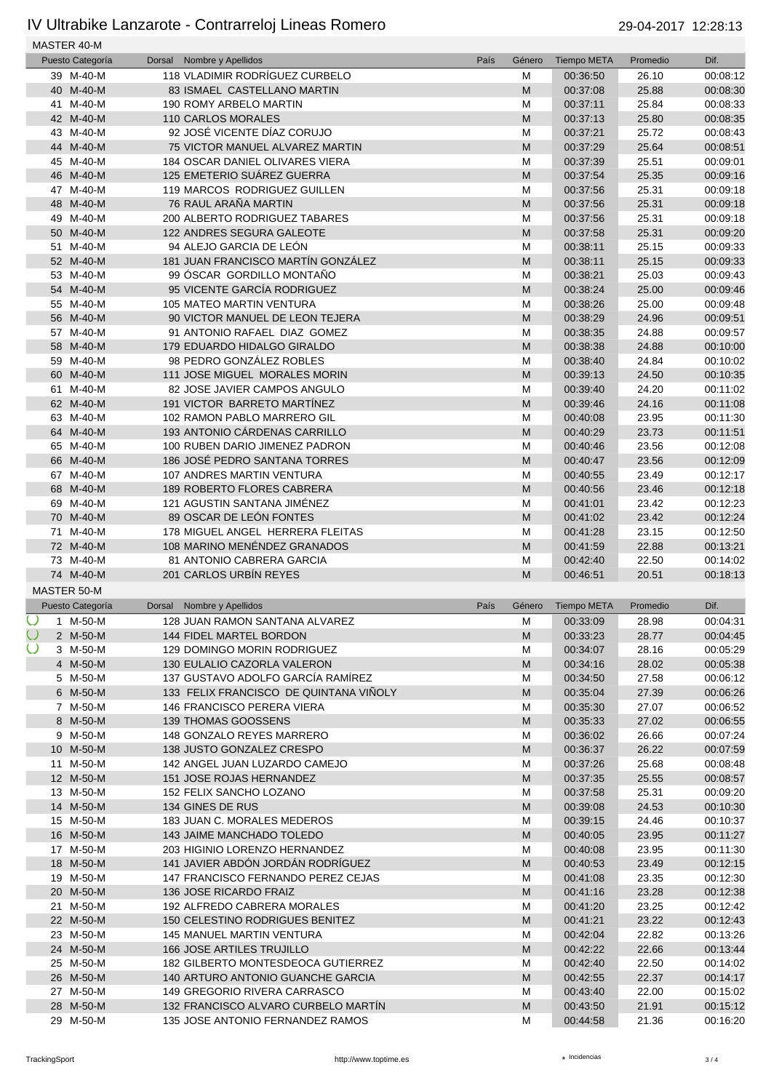|        | MASTER 40-M        |        |                                        |      |                                                                                                            |                    |          |          |
|--------|--------------------|--------|----------------------------------------|------|------------------------------------------------------------------------------------------------------------|--------------------|----------|----------|
|        | Puesto Categoría   | Dorsal | Nombre y Apellidos                     | País | Género                                                                                                     | <b>Tiempo META</b> | Promedio | Dif.     |
|        | 39 M-40-M          |        | 118 VLADIMIR RODRÍGUEZ CURBELO         |      | M                                                                                                          | 00:36:50           | 26.10    | 00:08:12 |
|        | 40 M-40-M          |        | 83 ISMAEL CASTELLANO MARTIN            |      | M                                                                                                          | 00:37:08           | 25.88    | 00:08:30 |
|        | 41 M-40-M          |        | 190 ROMY ARBELO MARTIN                 |      | M                                                                                                          | 00:37:11           | 25.84    | 00:08:33 |
|        | 42 M-40-M          |        | <b>110 CARLOS MORALES</b>              |      | M                                                                                                          | 00:37:13           | 25.80    | 00:08:35 |
|        | 43 M-40-M          |        | 92 JOSÉ VICENTE DÍAZ CORUJO            |      | M                                                                                                          | 00:37:21           | 25.72    | 00:08:43 |
|        | 44 M-40-M          |        | 75 VICTOR MANUEL ALVAREZ MARTIN        |      | M                                                                                                          | 00:37:29           | 25.64    | 00:08:51 |
|        | 45 M-40-M          |        | 184 OSCAR DANIEL OLIVARES VIERA        |      | M                                                                                                          | 00:37:39           | 25.51    | 00:09:01 |
|        | 46 M-40-M          |        | 125 EMETERIO SUÁREZ GUERRA             |      | M                                                                                                          | 00:37:54           | 25.35    | 00:09:16 |
|        | 47 M-40-M          |        | 119 MARCOS RODRIGUEZ GUILLEN           |      | M                                                                                                          | 00:37:56           | 25.31    | 00:09:18 |
|        | 48 M-40-M          |        | 76 RAUL ARAÑA MARTIN                   |      | M                                                                                                          | 00:37:56           | 25.31    | 00:09:18 |
|        | 49 M-40-M          |        | 200 ALBERTO RODRIGUEZ TABARES          |      | M                                                                                                          | 00:37:56           | 25.31    | 00:09:18 |
|        | 50 M-40-M          |        | 122 ANDRES SEGURA GALEOTE              |      | M                                                                                                          | 00:37:58           | 25.31    | 00:09:20 |
|        | 51 M-40-M          |        | 94 ALEJO GARCIA DE LEON                |      | M                                                                                                          | 00:38:11           | 25.15    | 00:09:33 |
|        | 52 M-40-M          |        | 181 JUAN FRANCISCO MARTÍN GONZÁLEZ     |      | M                                                                                                          | 00:38:11           | 25.15    | 00:09:33 |
|        | 53 M-40-M          |        | 99 ÓSCAR GORDILLO MONTAÑO              |      | M                                                                                                          | 00:38:21           | 25.03    | 00:09:43 |
|        | 54 M-40-M          |        | 95 VICENTE GARCÍA RODRIGUEZ            |      | M                                                                                                          | 00:38:24           | 25.00    | 00:09:46 |
|        | 55 M-40-M          |        | 105 MATEO MARTIN VENTURA               |      | M                                                                                                          | 00:38:26           | 25.00    | 00:09:48 |
|        | 56 M-40-M          |        | 90 VICTOR MANUEL DE LEON TEJERA        |      | M                                                                                                          | 00:38:29           | 24.96    | 00:09:51 |
|        | 57 M-40-M          |        | 91 ANTONIO RAFAEL DIAZ GOMEZ           |      | M                                                                                                          | 00:38:35           | 24.88    | 00:09:57 |
|        | 58 M-40-M          |        | 179 EDUARDO HIDALGO GIRALDO            |      | M                                                                                                          | 00:38:38           | 24.88    | 00:10:00 |
|        | 59 M-40-M          |        | 98 PEDRO GONZÁLEZ ROBLES               |      | M                                                                                                          | 00:38:40           | 24.84    | 00:10:02 |
|        | 60 M-40-M          |        | 111 JOSE MIGUEL MORALES MORIN          |      | M                                                                                                          | 00:39:13           | 24.50    | 00:10:35 |
|        | 61 M-40-M          |        | 82 JOSE JAVIER CAMPOS ANGULO           |      | M                                                                                                          | 00:39:40           | 24.20    | 00:11:02 |
|        | 62 M-40-M          |        | 191 VICTOR BARRETO MARTÍNEZ            |      | M                                                                                                          | 00:39:46           | 24.16    | 00:11:08 |
|        | 63 M-40-M          |        | 102 RAMON PABLO MARRERO GIL            |      | M                                                                                                          | 00:40:08           | 23.95    | 00:11:30 |
|        | 64 M-40-M          |        | 193 ANTONIO CÁRDENAS CARRILLO          |      | M                                                                                                          | 00:40:29           | 23.73    | 00:11:51 |
|        | 65 M-40-M          |        | 100 RUBEN DARIO JIMENEZ PADRON         |      | M                                                                                                          | 00:40:46           | 23.56    | 00:12:08 |
|        | 66 M-40-M          |        | 186 JOSÉ PEDRO SANTANA TORRES          |      | M                                                                                                          | 00:40:47           | 23.56    | 00:12:09 |
|        | 67 M-40-M          |        | 107 ANDRES MARTIN VENTURA              |      | M                                                                                                          | 00:40:55           | 23.49    | 00:12:17 |
|        | 68 M-40-M          |        | 189 ROBERTO FLORES CABRERA             |      | M                                                                                                          | 00:40:56           | 23.46    | 00:12:18 |
|        | 69 M-40-M          |        | 121 AGUSTIN SANTANA JIMÉNEZ            |      | M                                                                                                          | 00:41:01           | 23.42    | 00:12:23 |
|        | 70 M-40-M          |        | 89 OSCAR DE LEÓN FONTES                |      | M                                                                                                          | 00:41:02           | 23.42    | 00:12:24 |
|        | 71 M-40-M          |        | 178 MIGUEL ANGEL HERRERA FLEITAS       |      | M                                                                                                          | 00:41:28           | 23.15    | 00:12:50 |
|        | 72 M-40-M          |        | 108 MARINO MENÉNDEZ GRANADOS           |      | M                                                                                                          | 00:41:59           | 22.88    | 00:13:21 |
|        | 73 M-40-M          |        | 81 ANTONIO CABRERA GARCIA              |      | M                                                                                                          | 00:42:40           | 22.50    | 00:14:02 |
|        | 74 M-40-M          |        | 201 CARLOS URBÍN REYES                 |      | M                                                                                                          | 00:46:51           | 20.51    | 00:18:13 |
|        | <b>MASTER 50-M</b> |        |                                        |      |                                                                                                            |                    |          |          |
|        | Puesto Categoría   |        | Dorsal Nombre y Apellidos              | País | Género                                                                                                     | <b>Tiempo META</b> | Promedio | Dif.     |
| Ő      | 1 M-50-M           |        | 128 JUAN RAMON SANTANA ALVAREZ         |      | M                                                                                                          | 00:33:09           | 28.98    | 00:04:31 |
| $\cup$ | 2 M-50-M           |        | 144 FIDEL MARTEL BORDON                |      | M                                                                                                          | 00:33:23           | 28.77    | 00:04:45 |
| $\cup$ | 3 M-50-M           |        | <b>129 DOMINGO MORIN RODRIGUEZ</b>     |      | M                                                                                                          | 00:34:07           | 28.16    | 00:05:29 |
|        | 4 M-50-M           |        | 130 EULALIO CAZORLA VALERON            |      | ${\sf M}$                                                                                                  | 00:34:16           | 28.02    | 00:05:38 |
|        | 5 M-50-M           |        | 137 GUSTAVO ADOLFO GARCÍA RAMÍREZ      |      | M                                                                                                          | 00:34:50           | 27.58    | 00:06:12 |
|        | 6 M-50-M           |        | 133 FELIX FRANCISCO DE QUINTANA VIÑOLY |      | ${\sf M}$                                                                                                  | 00:35:04           | 27.39    | 00:06:26 |
|        | 7 M-50-M           |        | 146 FRANCISCO PERERA VIERA             |      | M                                                                                                          | 00:35:30           | 27.07    | 00:06:52 |
|        | 8 M-50-M           |        | <b>139 THOMAS GOOSSENS</b>             |      | M                                                                                                          | 00:35:33           | 27.02    | 00:06:55 |
|        | 9 M-50-M           |        | 148 GONZALO REYES MARRERO              |      | M                                                                                                          | 00:36:02           | 26.66    | 00:07:24 |
|        | 10 M-50-M          |        | 138 JUSTO GONZALEZ CRESPO              |      | $\mathsf{M}% _{T}=\mathsf{M}_{T}\!\left( a,b\right) ,\ \mathsf{M}_{T}=\mathsf{M}_{T}\!\left( a,b\right) ,$ | 00:36:37           | 26.22    | 00:07:59 |
|        | 11 M-50-M          |        | 142 ANGEL JUAN LUZARDO CAMEJO          |      | M                                                                                                          | 00:37:26           | 25.68    | 00:08:48 |
|        | 12 M-50-M          |        | 151 JOSE ROJAS HERNANDEZ               |      | $\mathsf{M}% _{T}=\mathsf{M}_{T}\!\left( a,b\right) ,\ \mathsf{M}_{T}=\mathsf{M}_{T}\!\left( a,b\right) ,$ | 00:37:35           | 25.55    | 00:08:57 |
|        | 13 M-50-M          |        | 152 FELIX SANCHO LOZANO                |      | M                                                                                                          | 00:37:58           | 25.31    | 00:09:20 |
|        | 14 M-50-M          |        | 134 GINES DE RUS                       |      | M                                                                                                          | 00:39:08           | 24.53    | 00:10:30 |
|        | 15 M-50-M          |        | 183 JUAN C. MORALES MEDEROS            |      | M                                                                                                          | 00:39:15           | 24.46    | 00:10:37 |
|        | 16 M-50-M          |        | 143 JAIME MANCHADO TOLEDO              |      | ${\sf M}$                                                                                                  | 00:40:05           | 23.95    | 00:11:27 |
|        | 17 M-50-M          |        | 203 HIGINIO LORENZO HERNANDEZ          |      | M                                                                                                          | 00:40:08           | 23.95    | 00:11:30 |
|        | 18 M-50-M          |        | 141 JAVIER ABDÓN JORDÁN RODRÍGUEZ      |      | ${\sf M}$                                                                                                  | 00:40:53           | 23.49    | 00:12:15 |
|        | 19 M-50-M          |        | 147 FRANCISCO FERNANDO PEREZ CEJAS     |      | M                                                                                                          | 00:41:08           | 23.35    | 00:12:30 |
|        | 20 M-50-M          |        | 136 JOSE RICARDO FRAIZ                 |      | M                                                                                                          | 00:41:16           | 23.28    | 00:12:38 |
|        | 21 M-50-M          |        | 192 ALFREDO CABRERA MORALES            |      | M                                                                                                          | 00:41:20           | 23.25    | 00:12:42 |
|        | 22 M-50-M          |        | 150 CELESTINO RODRIGUES BENITEZ        |      | $\mathsf{M}% _{T}=\mathsf{M}_{T}\!\left( a,b\right) ,\ \mathsf{M}_{T}=\mathsf{M}_{T}\!\left( a,b\right) ,$ | 00:41:21           | 23.22    | 00:12:43 |
|        | 23 M-50-M          |        | 145 MANUEL MARTIN VENTURA              |      | M                                                                                                          | 00:42:04           | 22.82    | 00:13:26 |
|        | 24 M-50-M          |        | 166 JOSE ARTILES TRUJILLO              |      | M                                                                                                          | 00:42:22           | 22.66    | 00:13:44 |
|        | 25 M-50-M          |        | 182 GILBERTO MONTESDEOCA GUTIERREZ     |      | M                                                                                                          | 00:42:40           | 22.50    | 00:14:02 |
|        | 26 M-50-M          |        | 140 ARTURO ANTONIO GUANCHE GARCIA      |      | M                                                                                                          | 00:42:55           | 22.37    | 00:14:17 |
|        | 27 M-50-M          |        | 149 GREGORIO RIVERA CARRASCO           |      | M                                                                                                          | 00:43:40           | 22.00    | 00:15:02 |
|        | 28 M-50-M          |        | 132 FRANCISCO ALVARO CURBELO MARTÍN    |      | ${\sf M}$                                                                                                  | 00:43:50           | 21.91    | 00:15:12 |
|        | 29 M-50-M          |        | 135 JOSE ANTONIO FERNANDEZ RAMOS       |      | M                                                                                                          | 00:44:58           | 21.36    | 00:16:20 |